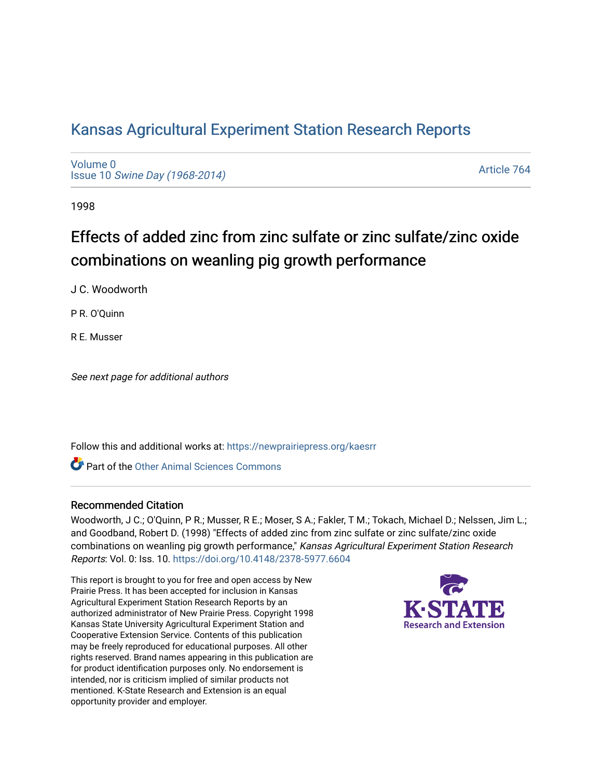## [Kansas Agricultural Experiment Station Research Reports](https://newprairiepress.org/kaesrr)

[Volume 0](https://newprairiepress.org/kaesrr/vol0) Issue 10 [Swine Day \(1968-2014\)](https://newprairiepress.org/kaesrr/vol0/iss10)

[Article 764](https://newprairiepress.org/kaesrr/vol0/iss10/764) 

1998

# Effects of added zinc from zinc sulfate or zinc sulfate/zinc oxide combinations on weanling pig growth performance

J C. Woodworth

P R. O'Quinn

R E. Musser

See next page for additional authors

Follow this and additional works at: [https://newprairiepress.org/kaesrr](https://newprairiepress.org/kaesrr?utm_source=newprairiepress.org%2Fkaesrr%2Fvol0%2Fiss10%2F764&utm_medium=PDF&utm_campaign=PDFCoverPages) 

**C** Part of the [Other Animal Sciences Commons](http://network.bepress.com/hgg/discipline/82?utm_source=newprairiepress.org%2Fkaesrr%2Fvol0%2Fiss10%2F764&utm_medium=PDF&utm_campaign=PDFCoverPages)

#### Recommended Citation

Woodworth, J C.; O'Quinn, P R.; Musser, R E.; Moser, S A.; Fakler, T M.; Tokach, Michael D.; Nelssen, Jim L.; and Goodband, Robert D. (1998) "Effects of added zinc from zinc sulfate or zinc sulfate/zinc oxide combinations on weanling pig growth performance," Kansas Agricultural Experiment Station Research Reports: Vol. 0: Iss. 10.<https://doi.org/10.4148/2378-5977.6604>

This report is brought to you for free and open access by New Prairie Press. It has been accepted for inclusion in Kansas Agricultural Experiment Station Research Reports by an authorized administrator of New Prairie Press. Copyright 1998 Kansas State University Agricultural Experiment Station and Cooperative Extension Service. Contents of this publication may be freely reproduced for educational purposes. All other rights reserved. Brand names appearing in this publication are for product identification purposes only. No endorsement is intended, nor is criticism implied of similar products not mentioned. K-State Research and Extension is an equal opportunity provider and employer.

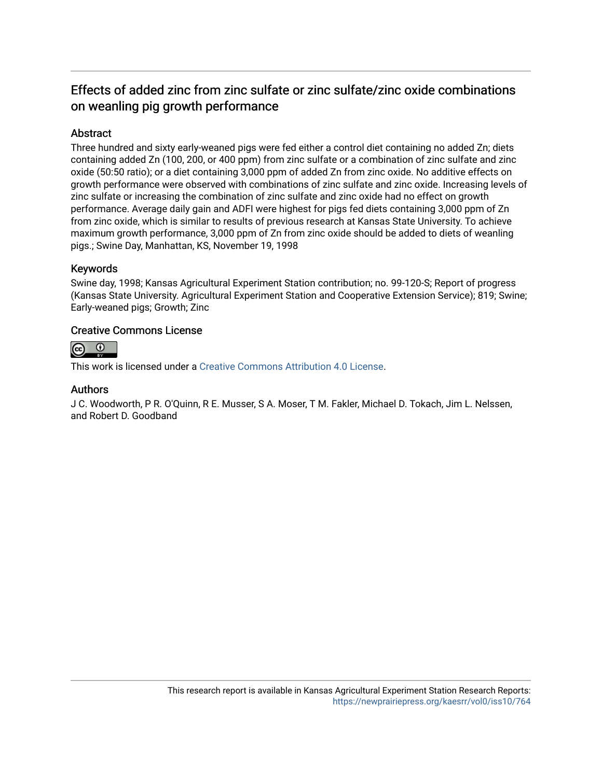### Effects of added zinc from zinc sulfate or zinc sulfate/zinc oxide combinations on weanling pig growth performance

#### Abstract

Three hundred and sixty early-weaned pigs were fed either a control diet containing no added Zn; diets containing added Zn (100, 200, or 400 ppm) from zinc sulfate or a combination of zinc sulfate and zinc oxide (50:50 ratio); or a diet containing 3,000 ppm of added Zn from zinc oxide. No additive effects on growth performance were observed with combinations of zinc sulfate and zinc oxide. Increasing levels of zinc sulfate or increasing the combination of zinc sulfate and zinc oxide had no effect on growth performance. Average daily gain and ADFI were highest for pigs fed diets containing 3,000 ppm of Zn from zinc oxide, which is similar to results of previous research at Kansas State University. To achieve maximum growth performance, 3,000 ppm of Zn from zinc oxide should be added to diets of weanling pigs.; Swine Day, Manhattan, KS, November 19, 1998

#### Keywords

Swine day, 1998; Kansas Agricultural Experiment Station contribution; no. 99-120-S; Report of progress (Kansas State University. Agricultural Experiment Station and Cooperative Extension Service); 819; Swine; Early-weaned pigs; Growth; Zinc

#### Creative Commons License



This work is licensed under a [Creative Commons Attribution 4.0 License](https://creativecommons.org/licenses/by/4.0/).

#### Authors

J C. Woodworth, P R. O'Quinn, R E. Musser, S A. Moser, T M. Fakler, Michael D. Tokach, Jim L. Nelssen, and Robert D. Goodband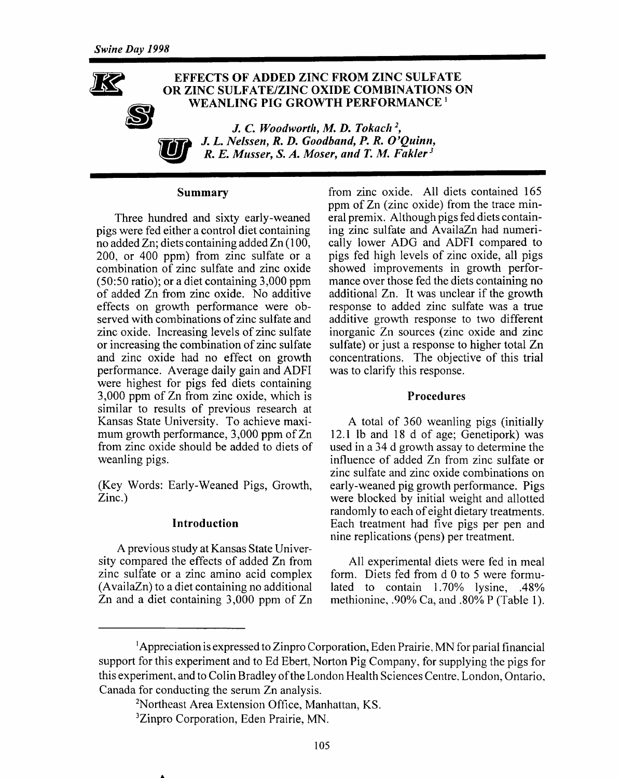

#### **EFFECTS OF ADDED ZINC FROM ZINC SULFATE** OR ZINC SULFATE/ZINC OXIDE COMBINATIONS ON WEANLING PIG GROWTH PERFORMANCE<sup>1</sup>

J. C. Woodworth, M. D. Tokach<sup>2</sup>, J. L. Nelssen, R. D. Goodband, P. R. O'Ouinn, R. E. Musser, S. A. Moser, and T. M. Fakler<sup>3</sup>

#### Summary

Three hundred and sixty early-weaned pigs were fed either a control diet containing no added Zn; diets containing added Zn (100, 200, or 400 ppm) from zinc sulfate or a combination of zinc sulfate and zinc oxide  $(50:50 \text{ ratio})$ ; or a diet containing 3,000 ppm of added Zn from zinc oxide. No additive effects on growth performance were observed with combinations of zinc sulfate and zinc oxide. Increasing levels of zinc sulfate or increasing the combination of zinc sulfate and zinc oxide had no effect on growth performance. Average daily gain and ADFI were highest for pigs fed diets containing 3,000 ppm of Zn from zinc oxide, which is similar to results of previous research at Kansas State University. To achieve maximum growth performance, 3,000 ppm of Zn from zinc oxide should be added to diets of weanling pigs.

(Key Words: Early-Weaned Pigs, Growth,  $Zinc.$ )

#### Introduction

A previous study at Kansas State University compared the effects of added Zn from zinc sulfate or a zinc amino acid complex (AvailaZn) to a diet containing no additional Zn and a diet containing  $3,000$  ppm of Zn from zinc oxide. All diets contained 165 ppm of Zn (zinc oxide) from the trace mineral premix. Although pigs fed diets containing zinc sulfate and AvailaZn had numerically lower ADG and ADFI compared to pigs fed high levels of zinc oxide, all pigs showed improvements in growth performance over those fed the diets containing no additional Zn. It was unclear if the growth response to added zinc sulfate was a true additive growth response to two different inorganic Zn sources (zinc oxide and zinc sulfate) or just a response to higher total Zn concentrations. The objective of this trial was to clarify this response.

#### **Procedures**

A total of 360 weanling pigs (initially 12.1 lb and 18 d of age; Genetipork) was used in a 34 d growth assay to determine the influence of added Zn from zinc sulfate or zinc sulfate and zinc oxide combinations on early-weaned pig growth performance. Pigs were blocked by initial weight and allotted randomly to each of eight dietary treatments. Each treatment had five pigs per pen and nine replications (pens) per treatment.

All experimental diets were fed in meal form. Diets fed from d 0 to 5 were formulated to contain 1.70% lysine, .48% methionine, .90% Ca, and .80% P (Table 1).

<sup>&</sup>lt;sup>1</sup>Appreciation is expressed to Zinpro Corporation, Eden Prairie, MN for parial financial support for this experiment and to Ed Ebert, Norton Pig Company, for supplying the pigs for this experiment, and to Colin Bradley of the London Health Sciences Centre, London, Ontario, Canada for conducting the serum Zn analysis.

<sup>&</sup>lt;sup>2</sup>Northeast Area Extension Office, Manhattan, KS.

<sup>&</sup>lt;sup>3</sup>Zinpro Corporation, Eden Prairie, MN.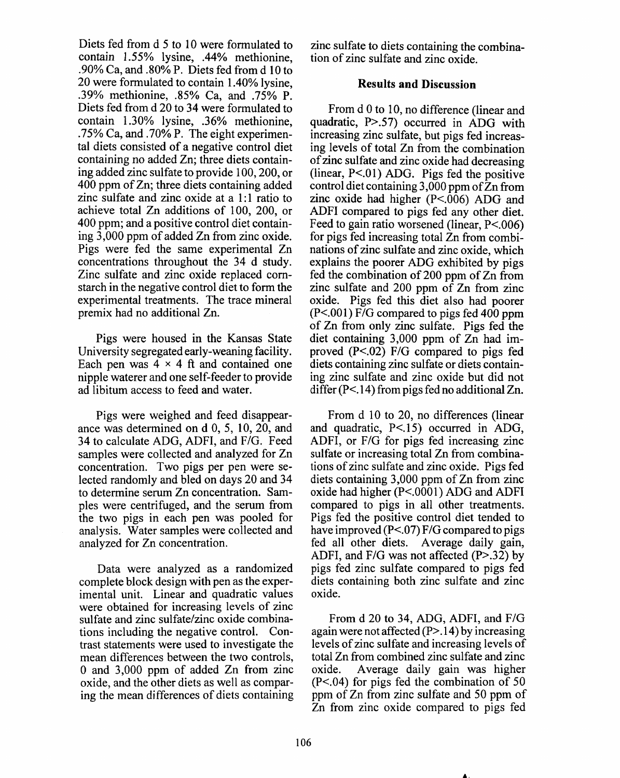Diets fed from d 5 to 10 were formulated to contain 1.55% lysine. .44% methionine. .90% Ca. and .80% P. Diets fed from d 10 to 20 were formulated to contain 1.40% lysine, .39% methionine, .85% Ca. and .75% P. Diets fed from d 20 to 34 were formulated to contain 1.30% lysine, .36% methionine. .75% Ca, and .70% P. The eight experimental diets consisted of a negative control diet containing no added Zn; three diets containing added zinc sulfate to provide 100, 200, or 400 ppm of Zn; three diets containing added zinc sulfate and zinc oxide at a 1:1 ratio to achieve total Zn additions of 100, 200, or 400 ppm; and a positive control diet containing 3,000 ppm of added Zn from zinc oxide. Pigs were fed the same experimental Zn concentrations throughout the 34 d study. Zinc sulfate and zinc oxide replaced cornstarch in the negative control diet to form the experimental treatments. The trace mineral premix had no additional Zn.

Pigs were housed in the Kansas State University segregated early-weaning facility. Each pen was  $4 \times 4$  ft and contained one nipple waterer and one self-feeder to provide ad libitum access to feed and water.

Pigs were weighed and feed disappearance was determined on d 0, 5, 10, 20, and 34 to calculate ADG, ADFI, and F/G. Feed samples were collected and analyzed for Zn concentration. Two pigs per pen were selected randomly and bled on days 20 and 34 to determine serum Zn concentration. Samples were centrifuged, and the serum from the two pigs in each pen was pooled for analysis. Water samples were collected and analyzed for Zn concentration.

Data were analyzed as a randomized complete block design with pen as the experimental unit. Linear and quadratic values were obtained for increasing levels of zinc sulfate and zinc sulfate/zinc oxide combinations including the negative control. Contrast statements were used to investigate the mean differences between the two controls, 0 and 3,000 ppm of added Zn from zinc oxide, and the other diets as well as comparing the mean differences of diets containing zinc sulfate to diets containing the combination of zinc sulfate and zinc oxide.

#### **Results and Discussion**

From d 0 to 10, no difference (linear and quadratic, P>.57) occurred in ADG with increasing zinc sulfate, but pigs fed increasing levels of total Zn from the combination of zinc sulfate and zinc oxide had decreasing (linear,  $P<.01$ ) ADG. Pigs fed the positive control diet containing  $3.000$  ppm of  $\overline{Z}$ n from zinc oxide had higher  $(P<.006)$  ADG and ADFI compared to pigs fed any other diet. Feed to gain ratio worsened (linear,  $P < 006$ ) for pigs fed increasing total Zn from combinations of zinc sulfate and zinc oxide, which explains the poorer ADG exhibited by pigs fed the combination of 200 ppm of Zn from zinc sulfate and 200 ppm of Zn from zinc oxide. Pigs fed this diet also had poorer  $(P<.001)$  F/G compared to pigs fed 400 ppm of Zn from only zinc sulfate. Pigs fed the diet containing 3,000 ppm of Zn had improved  $(P<.02)$  F/G compared to pigs fed diets containing zinc sulfate or diets containing zinc sulfate and zinc oxide but did not differ  $(P<.14)$  from pigs fed no additional Zn.

From d 10 to 20, no differences (linear and quadratic, P<.15) occurred in ADG, ADFI, or F/G for pigs fed increasing zinc sulfate or increasing total Zn from combinations of zinc sulfate and zinc oxide. Pigs fed diets containing 3,000 ppm of Zn from zinc oxide had higher (P<.0001) ADG and ADFI compared to pigs in all other treatments. Pigs fed the positive control diet tended to have improved  $(P<.07)$  F/G compared to pigs fed all other diets. Average daily gain, ADFI, and  $F/G$  was not affected  $(P > .32)$  by pigs fed zinc sulfate compared to pigs fed diets containing both zinc sulfate and zinc oxide.

From d 20 to 34, ADG, ADFI, and F/G again were not affected  $(P>14)$  by increasing levels of zinc sulfate and increasing levels of total Zn from combined zinc sulfate and zinc oxide. Average daily gain was higher  $(P<.04)$  for pigs fed the combination of 50 ppm of Zn from zinc sulfate and 50 ppm of Zn from zinc oxide compared to pigs fed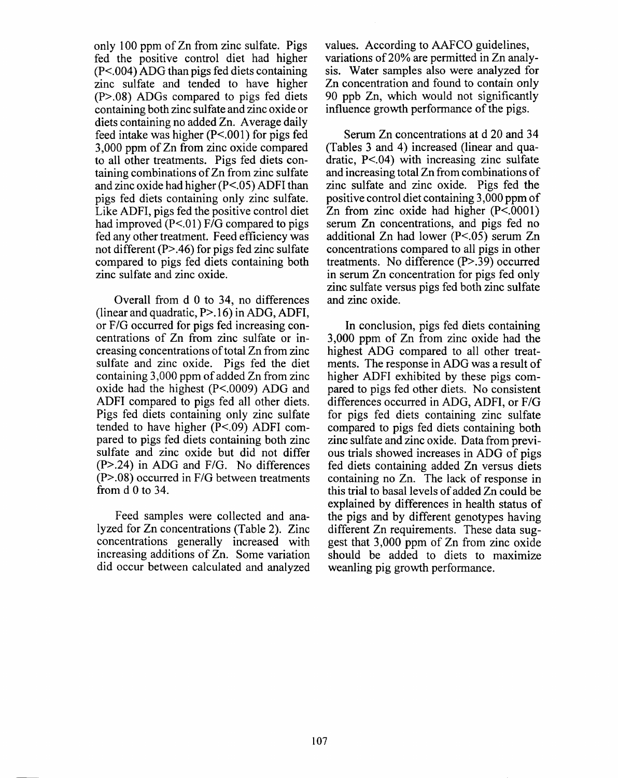only 100 ppm of Zn from zinc sulfate. Pigs fed the positive control diet had higher  $(P<.004)$  ADG than pigs fed diets containing zinc sulfate and tended to have higher  $(P>0.08)$  ADGs compared to pigs fed diets containing both zinc sulfate and zinc oxide or diets containing no added Zn. Average daily feed intake was higher  $(P<.001)$  for pigs fed 3,000 ppm of Zn from zinc oxide compared to all other treatments. Pigs fed diets containing combinations of Zn from zinc sulfate and zinc oxide had higher (P<.05) ADFI than pigs fed diets containing only zinc sulfate. Like ADFI, pigs fed the positive control diet had improved  $(P<.01)$  F/G compared to pigs fed any other treatment. Feed efficiency was not different  $(P>0.46)$  for pigs fed zinc sulfate compared to pigs fed diets containing both zinc sulfate and zinc oxide.

Overall from d 0 to 34, no differences (linear and quadratic,  $P > 16$ ) in ADG, ADFI, or F/G occurred for pigs fed increasing concentrations of Zn from zinc sulfate or increasing concentrations of total Zn from zinc sulfate and zinc oxide. Pigs fed the diet containing 3,000 ppm of added Zn from zinc oxide had the highest (P<.0009) ADG and ADFI compared to pigs fed all other diets. Pigs fed diets containing only zinc sulfate tended to have higher  $(P<.09)$  ADFI compared to pigs fed diets containing both zinc sulfate and zinc oxide but did not differ  $(P > .24)$  in ADG and F/G. No differences  $(P > .08)$  occurred in F/G between treatments from  $d$  0 to 34.

Feed samples were collected and analyzed for Zn concentrations (Table 2). Zinc concentrations generally increased with increasing additions of Zn. Some variation did occur between calculated and analyzed values. According to AAFCO guidelines. variations of 20% are permitted in Zn analysis. Water samples also were analyzed for Zn concentration and found to contain only 90 ppb Zn, which would not significantly influence growth performance of the pigs.

Serum Zn concentrations at d 20 and 34 (Tables 3 and 4) increased (linear and quadratic,  $P < 04$ ) with increasing zinc sulfate and increasing total Zn from combinations of zinc sulfate and zinc oxide. Pigs fed the positive control diet containing 3,000 ppm of Zn from zinc oxide had higher  $(P<.0001)$ serum Zn concentrations, and pigs fed no additional Zn had lower  $(P<.05)$  serum Zn concentrations compared to all pigs in other treatments. No difference (P>.39) occurred in serum Zn concentration for pigs fed only zinc sulfate versus pigs fed both zinc sulfate and zinc oxide.

In conclusion, pigs fed diets containing 3,000 ppm of Zn from zinc oxide had the highest ADG compared to all other treatments. The response in ADG was a result of higher ADFI exhibited by these pigs compared to pigs fed other diets. No consistent differences occurred in ADG, ADFI, or F/G for pigs fed diets containing zinc sulfate compared to pigs fed diets containing both zinc sulfate and zinc oxide. Data from previous trials showed increases in ADG of pigs fed diets containing added Zn versus diets containing no Zn. The lack of response in this trial to basal levels of added Zn could be explained by differences in health status of the pigs and by different genotypes having different Zn requirements. These data suggest that 3,000 ppm of Zn from zinc oxide should be added to diets to maximize weanling pig growth performance.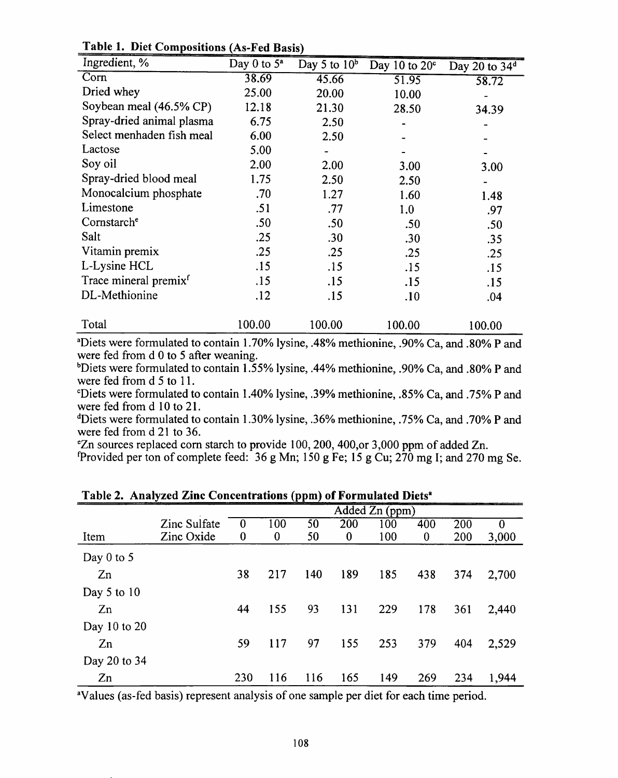| Ingredient, %                     | Day 0 to $5^a$ | Day 5 to $10b$ | Day 10 to $20^{\circ}$ | Day 20 to 34 <sup>d</sup> |
|-----------------------------------|----------------|----------------|------------------------|---------------------------|
| Corn                              | 38.69          | 45.66          | 51.95                  | 58.72                     |
| Dried whey                        | 25.00          | 20.00          | 10.00                  |                           |
| Soybean meal (46.5% CP)           | 12.18          | 21.30          | 28.50                  | 34.39                     |
| Spray-dried animal plasma         | 6.75           | 2.50           |                        |                           |
| Select menhaden fish meal         | 6.00           | 2.50           |                        |                           |
| Lactose                           | 5.00           |                |                        |                           |
| Soy oil                           | 2.00           | 2.00           | 3.00                   | 3.00                      |
| Spray-dried blood meal            | 1.75           | 2.50           | 2.50                   |                           |
| Monocalcium phosphate             | .70            | 1.27           | 1.60                   | 1.48                      |
| Limestone                         | .51            | .77            | 1.0                    | .97                       |
| Cornstarch <sup>e</sup>           | .50            | .50            | .50                    | .50                       |
| Salt                              | .25            | .30            | .30                    | .35                       |
| Vitamin premix                    | .25            | .25            | .25                    | .25                       |
| L-Lysine HCL                      | .15            | .15            | .15                    | .15                       |
| Trace mineral premix <sup>f</sup> | .15            | .15            | .15                    | .15                       |
| DL-Methionine                     | .12            | .15            | .10                    | .04                       |
|                                   |                |                |                        |                           |
| Total                             | 100.00         | 100.00         | 100.00                 | 100.00                    |

Table 1. Diet Compositions (As-Fed Basis)

<sup>a</sup>Diets were formulated to contain 1.70% lysine, .48% methionine, .90% Ca, and .80% P and were fed from d 0 to 5 after weaning.

<sup>b</sup>Diets were formulated to contain 1.55% lysine, .44% methionine, .90% Ca, and .80% P and were fed from d 5 to 11.

°Diets were formulated to contain 1.40% lysine, .39% methionine, .85% Ca, and .75% P and were fed from d 10 to 21.

<sup>d</sup>Diets were formulated to contain 1.30% lysine, .36% methionine, .75% Ca, and .70% P and were fed from d 21 to 36.

*eZn* sources replaced corn starch to provide 100, 200, 400, or 3,000 ppm of added Zn.

Provided per ton of complete feed: 36 g Mn;  $150 g$  Fe;  $15 g$  Cu;  $270 mg$  I; and 270 mg Se.

|                |              |                |          | $\sim$ |          |     |          |     |          |  |  |
|----------------|--------------|----------------|----------|--------|----------|-----|----------|-----|----------|--|--|
|                |              | Added Zn (ppm) |          |        |          |     |          |     |          |  |  |
|                | Zinc Sulfate | $\bf{0}$       | 100      | 50     | 200      | 100 | 400      | 200 | $\bf{0}$ |  |  |
| Item           | Zinc Oxide   | $\bf{0}$       | $\bf{0}$ | 50     | $\bf{0}$ | 100 | $\bf{0}$ | 200 | 3,000    |  |  |
| Day $0$ to $5$ |              |                |          |        |          |     |          |     |          |  |  |
| Zn             |              | 38             | 217      | 140    | 189      | 185 | 438      | 374 | 2,700    |  |  |
| Day 5 to $10$  |              |                |          |        |          |     |          |     |          |  |  |
| Zn             |              | 44             | 155      | 93     | 131      | 229 | 178      | 361 | 2,440    |  |  |
| Day 10 to 20   |              |                |          |        |          |     |          |     |          |  |  |
| Zn             |              | 59             | 117      | 97     | 155      | 253 | 379      | 404 | 2,529    |  |  |
| Day 20 to 34   |              |                |          |        |          |     |          |     |          |  |  |
| Zn             |              | 230            | 116      | 116    | 165      | 149 | 269      | 234 | 1,944    |  |  |

Table 2. Analyzed Zinc Concentrations (ppm) of Formulated Diets<sup>a</sup>

<sup>a</sup>Values (as-fed basis) represent analysis of one sample per diet for each time period.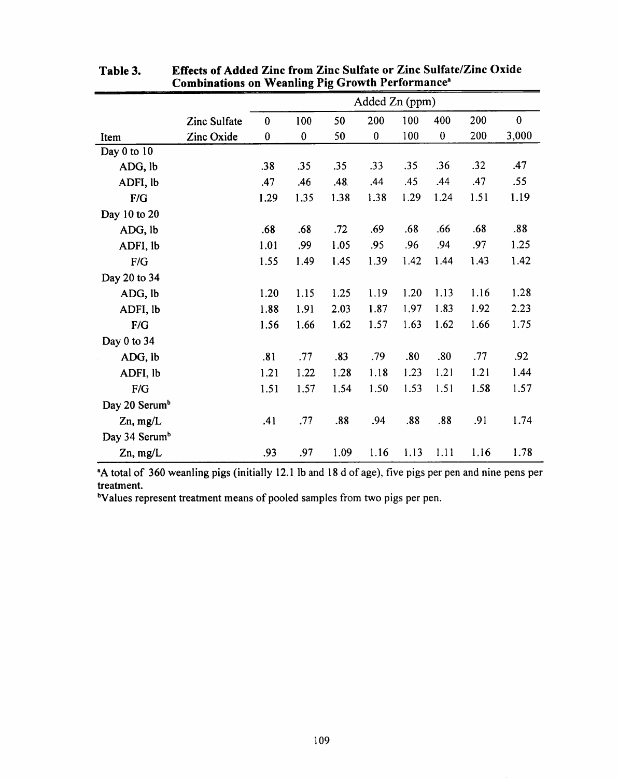|                           |              | Added Zn (ppm) |          |      |                  |      |          |      |          |  |
|---------------------------|--------------|----------------|----------|------|------------------|------|----------|------|----------|--|
|                           | Zinc Sulfate | $\bf{0}$       | 100      | 50   | 200              | 100  | 400      | 200  | $\bf{0}$ |  |
| Item                      | Zinc Oxide   | $\bf{0}$       | $\bf{0}$ | 50   | $\boldsymbol{0}$ | 100  | $\bf{0}$ | 200  | 3,000    |  |
| Day 0 to 10               |              |                |          |      |                  |      |          |      |          |  |
| ADG, lb                   |              | .38            | .35      | .35  | .33              | .35  | .36      | .32  | .47      |  |
| ADFI, lb                  |              | .47            | .46      | .48. | .44              | .45  | .44      | .47  | .55      |  |
| F/G                       |              | 1.29           | 1.35     | 1.38 | 1.38             | 1.29 | 1.24     | 1.51 | 1.19     |  |
| Day 10 to 20              |              |                |          |      |                  |      |          |      |          |  |
| ADG, lb                   |              | .68            | .68      | .72  | .69              | .68  | .66      | .68  | .88      |  |
| ADFI, lb                  |              | 1.01           | .99      | 1.05 | .95              | .96  | .94      | .97  | 1.25     |  |
| F/G                       |              | 1.55           | 1.49     | 1.45 | 1.39             | 1.42 | 1.44     | 1.43 | 1.42     |  |
| Day 20 to 34              |              |                |          |      |                  |      |          |      |          |  |
| ADG, lb                   |              | 1.20           | 1.15     | 1.25 | 1.19             | 1.20 | 1.13     | 1.16 | 1.28     |  |
| ADFI, lb                  |              | 1.88           | 1.91     | 2.03 | 1.87             | 1.97 | 1.83     | 1.92 | 2.23     |  |
| $\mathbf{F/G}$            |              | 1.56           | 1.66     | 1.62 | 1.57             | 1.63 | 1.62     | 1.66 | 1.75     |  |
| Day 0 to 34               |              |                |          |      |                  |      |          |      |          |  |
| ADG, lb                   |              | .81            | .77      | .83  | .79              | .80  | .80      | .77  | .92      |  |
| ADFI, lb                  |              | 1.21           | 1.22     | 1.28 | 1.18             | 1.23 | 1.21     | 1.21 | 1.44     |  |
| F/G                       |              | 1.51           | 1.57     | 1.54 | 1.50             | 1.53 | 1.51     | 1.58 | 1.57     |  |
| Day 20 Serum <sup>b</sup> |              |                |          |      |                  |      |          |      |          |  |
| $Zn$ , mg/L               |              | .41            | .77      | .88  | .94              | .88  | .88      | .91  | 1.74     |  |
| Day 34 Serum <sup>b</sup> |              |                |          |      |                  |      |          |      |          |  |
| $Zn$ , mg/L               |              | .93            | .97      | 1.09 | 1.16             | 1.13 | 1.11     | 1.16 | 1.78     |  |

Effects of Added Zinc from Zinc Sulfate or Zinc Sulfate/Zinc Oxide Table 3. **Combinations on Weanling Pig Growth Performance**<sup>a</sup>

<sup>a</sup>A total of 360 weanling pigs (initially 12.1 lb and 18 d of age), five pigs per pen and nine pens per treatment.

<sup>b</sup>Values represent treatment means of pooled samples from two pigs per pen.